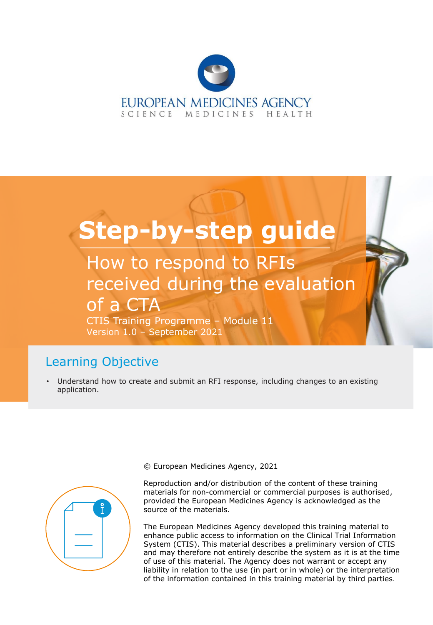

# **Step-by-step guide**

How to respond to RFIs received during the evaluation of a CTA

CTIS Training Programme – Module 11 Version 1.0 – September 2021

# Learning Objective

• Understand how to create and submit an RFI response, including changes to an existing application.



© European Medicines Agency, 2021

Reproduction and/or distribution of the content of these training materials for non-commercial or commercial purposes is authorised, provided the European Medicines Agency is acknowledged as the source of the materials.

The European Medicines Agency developed this training material to enhance public access to information on the Clinical Trial Information System (CTIS). This material describes a preliminary version of CTIS and may therefore not entirely describe the system as it is at the time of use of this material. The Agency does not warrant or accept any liability in relation to the use (in part or in whole) or the interpretation of the information contained in this training material by third parties.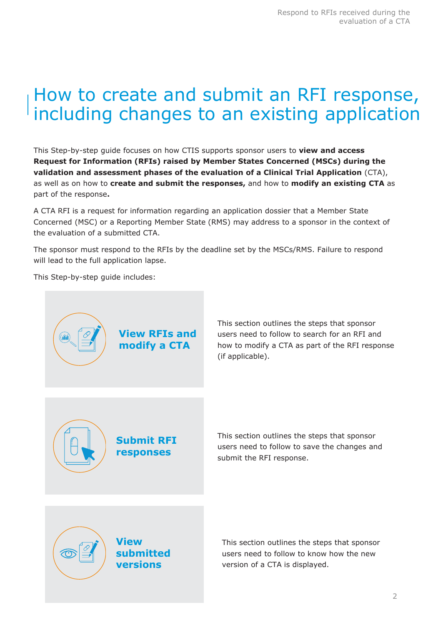# How to create and submit an RFI response, including changes to an existing application

This Step-by-step guide focuses on how CTIS supports sponsor users to **view and access Request for Information (RFIs) raised by Member States Concerned (MSCs) during the validation and assessment phases of the evaluation of a Clinical Trial Application** (CTA), as well as on how to **create and submit the responses,** and how to **modify an existing CTA** as part of the response**.**

A CTA RFI is a request for information regarding an application dossier that a Member State Concerned (MSC) or a Reporting Member State (RMS) may address to a sponsor in the context of the evaluation of a submitted CTA.

The sponsor must respond to the RFIs by the deadline set by the MSCs/RMS. Failure to respond will lead to the full application lapse.

This Step-by-step guide includes:

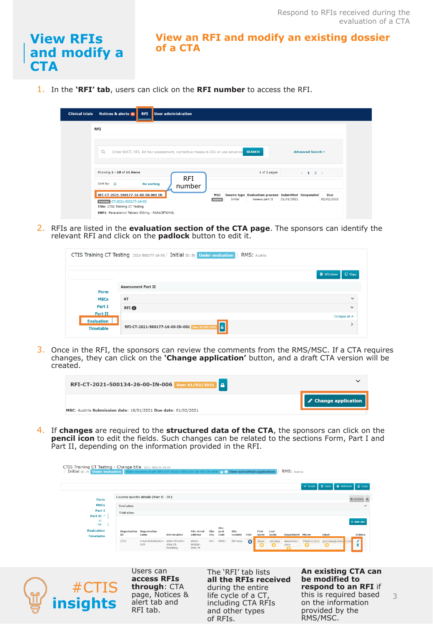## **View RFIs and modify a CTA**

#### **View an RFI and modify an existing dossier of a CTA**

1. In the **'RFI' tab**, users can click on the **RFI number** to access the RFI.

| Notices & alerts 0<br><b>Clinical trials</b><br><b>RFI</b> | User administration                                                              |                                                                                               |                    |
|------------------------------------------------------------|----------------------------------------------------------------------------------|-----------------------------------------------------------------------------------------------|--------------------|
| <b>RFI</b>                                                 |                                                                                  |                                                                                               |                    |
| Q                                                          | Enter EUCT, RFI, Ad hoc assessment, corrective measure IDs or use advance SEARCH |                                                                                               | Advanced Search +  |
| Showing 1 - 10 of 11 items                                 | <b>RFI</b>                                                                       | 1 of 2 pages                                                                                  | $\leftarrow$ 1 2 > |
| Sort by: 1#<br>RFI-CT-2021-500177-16-00-IN-001 IN          | <b>No sorting</b><br>number<br><b>MSC</b><br>Austria                             | Source type Evaluation process Submitted Responded<br>Initial<br>Assess part II<br>21/01/2021 | Due<br>02/02/2021  |

2. RFIs are listed in the **evaluation section of the CTA page**. The sponsors can identify the relevant RFI and click on the **padlock** button to edit it.

|                                       | CTIS Training CT Testing 2021-500177-16-00 / Initial ID: IN Under evaluation<br>/ RMS: Austria |                                  |
|---------------------------------------|------------------------------------------------------------------------------------------------|----------------------------------|
|                                       |                                                                                                | <b>Q</b> Withdraw<br>$\Box$ Copy |
| Form                                  | <b>Assessment Part II</b>                                                                      |                                  |
| <b>MSCs</b>                           | AT                                                                                             | $\checkmark$                     |
| Part I                                | <b>RFI</b> O                                                                                   | $\checkmark$                     |
| Part II                               |                                                                                                | Collapse all $\sim$              |
| <b>Evaluation</b><br><b>Timetable</b> | l a l<br>RFI-CT-2021-500177-16-00-IN-001 Due: 02/02/2021                                       |                                  |

3. Once in the RFI, the sponsors can review the comments from the RMS/MSC. If a CTA requires changes, they can click on the **'Change application'** button, and a draft CTA version will be created.



4. If **changes** are required to the **structured data of the CTA**, the sponsors can click on the **pencil icon** to edit the fields. Such changes can be related to the sections Form, Part I and Part II, depending on the information provided in the RFI.

| CTIS Training CT Testing - Change title 2021-500134-26-00<br>Initial ID: IN Under evaluation New version draft RFI-CT-2021-500134-26-00-IN-008 0 View submitted application |                    |                                          |                                            |                                  |              |                      |                                                                   |           |               |              | RMS: Austria          |                  |                                                               |                              |  |
|-----------------------------------------------------------------------------------------------------------------------------------------------------------------------------|--------------------|------------------------------------------|--------------------------------------------|----------------------------------|--------------|----------------------|-------------------------------------------------------------------|-----------|---------------|--------------|-----------------------|------------------|---------------------------------------------------------------|------------------------------|--|
|                                                                                                                                                                             |                    |                                          |                                            |                                  |              |                      |                                                                   |           |               |              |                       | $\vee$ Check     | <b>O</b> Withdraw<br><b>8</b> Save                            | $O$ Copy                     |  |
| Form                                                                                                                                                                        |                    | Country specific details (Part II - DE)  |                                            |                                  |              |                      |                                                                   |           |               |              |                       |                  |                                                               | <b>Werslons</b>              |  |
| <b>MSCs</b>                                                                                                                                                                 | <b>Trial sites</b> |                                          |                                            |                                  |              |                      |                                                                   |           |               |              |                       |                  |                                                               |                              |  |
| Part I<br>Part II <sup>+</sup>                                                                                                                                              | <b>Trial sites</b> |                                          |                                            |                                  |              |                      |                                                                   |           |               |              |                       |                  |                                                               |                              |  |
| $- AT$<br>$-DE$<br><b>Evaluation</b><br><b>Timetable</b>                                                                                                                    | <b>ID</b>          | Organisation Organisation<br>name        | <b>Site location</b>                       | Site street<br>address           | Site<br>city | Site<br>post<br>code | Site<br>country                                                   | Title     | First<br>name | Last<br>name | Department Phone      |                  | Email                                                         | + Add site<br><b>Actions</b> |  |
|                                                                                                                                                                             | 2722               | Universitatsklinikum<br><b>ULM</b>       | Albert-Einstein-<br>Allee 29,<br>Eselsberg | Albert-<br>Einstein-<br>Allee 29 | Ulm          | 89081                | Germany                                                           | $\bullet$ | Jason<br>61   | Javtokas     | Respiratory<br>clinic | 55542323222<br>⊕ | favtokas@unikliu                                              | $\mathcal I$<br>h.com        |  |
|                                                                                                                                                                             |                    |                                          |                                            |                                  |              |                      |                                                                   |           |               |              |                       |                  |                                                               |                              |  |
| #CTIS                                                                                                                                                                       |                    | Users can<br>access RFIs<br>through: CTA |                                            |                                  |              |                      | The 'RFI' tab lists<br>all the RFIs received<br>during the entire |           |               |              |                       |                  | An existing CTA can<br>be modified to<br>respond to an RFI if |                              |  |
| <b>insights</b>                                                                                                                                                             |                    | page, Notices &<br>alert tab and         |                                            |                                  |              |                      | life cycle of a CT,<br>including CTA RFIs                         |           |               |              |                       |                  | this is required based<br>on the information                  |                              |  |

and other types

provided by the RMS/MSC.

3

of RFIs.

RFI tab.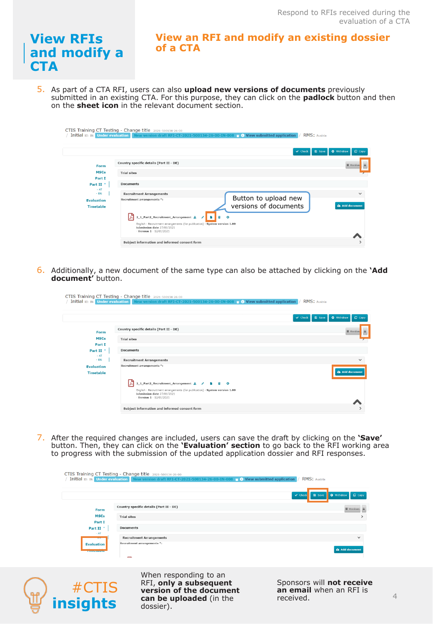# **View RFIs and modify a CTA**

**View an RFI and modify an existing dossier of a CTA**

5. As part of a CTA RFI, users can also **upload new versions of documents** previously submitted in an existing CTA. For this purpose, they can click on the **padlock** button and then on the **sheet icon** in the relevant document section.

|                             | CTIS Training CT Testing - Change title 2021-500134-26-00<br>RMS: Austria<br>Initial ID: IN Under evaluation New version draft RFI-CT-2021-500134-26-00-IN-008 G View submitted application |                                  |
|-----------------------------|---------------------------------------------------------------------------------------------------------------------------------------------------------------------------------------------|----------------------------------|
|                             | <b>D</b> Save<br>$\vee$ Check                                                                                                                                                               | <b>O</b> Withdraw<br>$\Box$ Copy |
| Form                        | Country specific details (Part II - DE)                                                                                                                                                     | <b>Wersions</b>                  |
| <b>MSCs</b><br>Part I       | <b>Trial sites</b>                                                                                                                                                                          |                                  |
| Part II<br>$-AT$            | <b>Documents</b>                                                                                                                                                                            |                                  |
| $-$ DE<br><b>Evaluation</b> | <b>Recruitment Arrangements</b><br>Button to upload new<br>Recruitment arrangements *:                                                                                                      |                                  |
| <b>Timetable</b>            | versions of documents                                                                                                                                                                       | <b>Add document</b>              |
|                             | 2_1_Part2_Recruitment_Arrangement &<br>English - Recruitment arrangements (for publication) - System version 1.00                                                                           |                                  |
|                             | submission date 27/01/2021<br>$-$ Version $1 - 12/01/2021$                                                                                                                                  |                                  |
|                             | Subject information and informed consent form                                                                                                                                               |                                  |

6. Additionally, a new document of the same type can also be attached by clicking on the **'Add document'** button.

|                                         | CTIS Training CT Testing - Change title 2021-500134-26-00<br>Initial ID: IN Under evaluation New version draft RFI-CT-2021-500134-26-00-IN-008 0 View submitted application | RMS: Austria                                   |
|-----------------------------------------|-----------------------------------------------------------------------------------------------------------------------------------------------------------------------------|------------------------------------------------|
|                                         | $\vee$ Check                                                                                                                                                                | $Q$ Copy<br><b>D</b> Save<br><b>O</b> Withdraw |
| Form                                    | Country specific details (Part II - DE)                                                                                                                                     | <b>Wersions</b>                                |
| <b>MSCs</b>                             | <b>Trial sites</b>                                                                                                                                                          |                                                |
| Part I<br>Part II <sup>+</sup><br>$-AT$ | <b>Documents</b>                                                                                                                                                            |                                                |
| $-DE$                                   | <b>Recruitment Arrangements</b>                                                                                                                                             | $\checkmark$                                   |
| <b>Evaluation</b><br><b>Timetable</b>   | Recruitment arrangements *:                                                                                                                                                 | Add document                                   |
|                                         | 2_1_Part2_Recruitment_Arrangement , / 自 自 0                                                                                                                                 |                                                |
|                                         | English - Recruitment arrangements (for publication) - System version 1.00<br>submission date 27/01/2021<br>$-$ Version $1 - 12/01/2021$                                    |                                                |
|                                         | Subject information and informed consent form                                                                                                                               |                                                |

7. After the required changes are included, users can save the draft by clicking on the **'Save'**  button. Then, they can click on the **'Evaluation' section** to go back to the RFI working area to progress with the submission of the updated application dossier and RFI responses.

|                                |                                         | O Withdraw<br><b>D</b> Save<br>$\vee$ Check |
|--------------------------------|-----------------------------------------|---------------------------------------------|
| Form                           | Country specific details (Part II - DE) | <b>W</b> Versions                           |
| <b>MSCs</b>                    | <b>Trial sites</b>                      |                                             |
| Part I<br>Part II <sup>+</sup> | <b>Documents</b>                        |                                             |
| $- AT$                         | <b>Recruitment Arrangements</b>         |                                             |
| <b>Evaluation</b>              | Recruitment arrangements *:             |                                             |



When responding to an RFI, **only a subsequent version of the document can be uploaded** (in the dossier).

Sponsors will **not receive an email** when an RFI is received.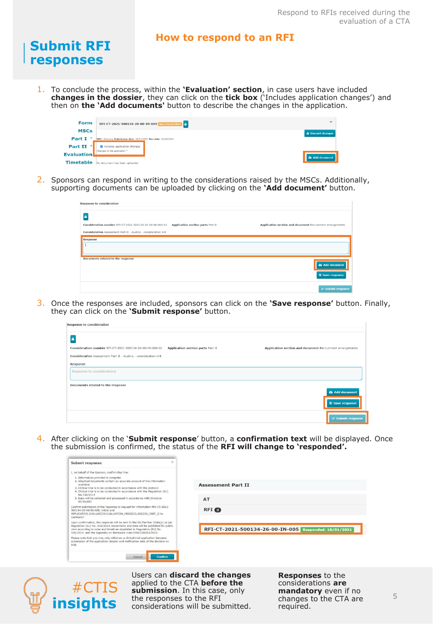#### **How to respond to an RFI**

1. To conclude the process, within the **'Evaluation' section**, in case users have included **changes in the dossier**, they can click on the **tick box** ('Includes application changes') and then on **the 'Add documents'** button to describe the changes in the application.

| <b>Form</b>       | $\checkmark$<br>RFI-CT-2021-500134-26-00-IN-009 Due: 01/02/2021 |  |
|-------------------|-----------------------------------------------------------------|--|
| <b>MSCs</b>       | <b>2</b> Discard changes                                        |  |
| <b>Part I</b>     | MSC: Germany Submission date: 18/01/2021 Due date: 01/02/2021   |  |
| <b>Part II</b>    | Includes application changes<br>Changes to the application "    |  |
| <b>Evaluation</b> | Add document                                                    |  |
| <b>Timetable</b>  | No document has been uploaded.                                  |  |

2. Sponsors can respond in writing to the considerations raised by the MSCs. Additionally, supporting documents can be uploaded by clicking on the **'Add document'** button.

| Response to consideration                                      |                                   |                                                           |
|----------------------------------------------------------------|-----------------------------------|-----------------------------------------------------------|
| ≏<br>Consideration number RFI-CT-2021-500134-26-00-IN-006-01   | Application section parts Part II | Application section and document Recruitment arrangements |
| Consideration Assessment Part II - Austria - consideration nr8 |                                   |                                                           |
| Response<br>Documents related to the response                  |                                   |                                                           |
|                                                                |                                   | Add document<br><sup>3</sup> Save response                |
|                                                                |                                   | $\checkmark$ Submit response                              |

3. Once the responses are included, sponsors can click on the **'Save response'** button. Finally, they can click on the **'Submit response'** button.

| Response to consideration                                      |                                   |                                                           |
|----------------------------------------------------------------|-----------------------------------|-----------------------------------------------------------|
|                                                                |                                   |                                                           |
| Consideration number RFI-CT-2021-500134-26-00-IN-006-01        | Application section parts Part II | Application section and document Recruitment arrangements |
| Consideration Assessment Part II - Austria - consideration nr8 |                                   |                                                           |
| Response                                                       |                                   |                                                           |
| Response to considerations                                     |                                   |                                                           |
| Documents related to the response                              |                                   |                                                           |
|                                                                |                                   | Add document<br><b>B</b> Save response                    |
|                                                                |                                   | $\checkmark$ Submit response                              |

4. After clicking on the '**Submit response**' button, a **confirmation text** will be displayed. Once the submission is confirmed, the status of the **RFI will change to 'responded'.** 

| I, on behalf of the Sponsor, confirm that the:                                                                                                                                                                                                                                                               |                                                                 |
|--------------------------------------------------------------------------------------------------------------------------------------------------------------------------------------------------------------------------------------------------------------------------------------------------------------|-----------------------------------------------------------------|
| 1. Information provided is complete<br>2. Attached documents contain an accurate account of the information<br>available<br>3. Clinical trial is to be conducted in accordance with the protocol<br>4. Clinical trial is to be conducted in accordance with the Regulation (EU)                              | <b>Assessment Part II</b>                                       |
| No.536/2014<br>5. Data will be collected and processed in accordance with Directive<br>95/46/EEC                                                                                                                                                                                                             | AT                                                              |
| Confirm submission of the response to request for information RFI-CT-2021-<br>500134-26-00-IN-008, Initial and<br>APPLICATION.EVALUATION.EVALUATION PROCESS.ASSESS PART II to<br>Germany?                                                                                                                    | <b>RFI</b>                                                      |
| Upon confirmation, the response will be sent to the EU Member State(s) as per<br>Regulation (EU) No. 536/2014. Documents and data will be published for public<br>view according to rules and timelines stipulated in Regulation (EU) No.<br>536/2014, and the Appendix on disclosure rules EMA/228383/2015. | RFI-CT-2021-500134-26-00-IN-005<br><b>Responded: 18/01/2021</b> |
| Please note that you may only withdraw a clinical trial application between<br>submission of the application dossier and notification date of the decision on<br>trial.                                                                                                                                      |                                                                 |



**Submit RFI responses**

> Users can **discard the changes**  applied to the CTA **before the submission**. In this case, only the responses to the RFI considerations will be submitted.

**Responses** to the considerations **are mandatory** even if no changes to the CTA are required.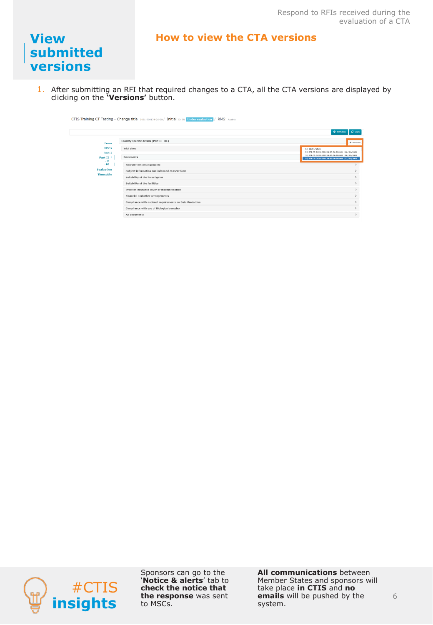#### **How to view the CTA versions**

### **View submitted versions**

1. After submitting an RFI that required changes to a CTA, all the CTA versions are displayed by clicking on the **'Versions'** button.

|                                | CTIS Training CT Testing - Change title 2021-500134-26-00 / Initial ID: IN Under evaluation<br><b>RMS: Austria</b> |                                                                                                      |
|--------------------------------|--------------------------------------------------------------------------------------------------------------------|------------------------------------------------------------------------------------------------------|
|                                |                                                                                                                    | $\Box$ Copy<br><b>Q</b> Withdraw                                                                     |
| Form                           | Country specific details (Part II - DE)                                                                            | <b>W</b> Versions                                                                                    |
| <b>MSCs</b><br>Part I          | <b>Trial sites</b>                                                                                                 | 1   12/01/2021<br>2   RFI-CT-2021-500134-26-00-1N-001   18/01/2021                                   |
| Part II <sup>+</sup><br>$- AT$ | <b>Documents</b>                                                                                                   | 3   RFI-CT-2021-500134-26-00-1N-002   18/01/2021<br>S   RFI-CT-2021-500134-26-00-1N-008   27/01/2021 |
| $-$ DE                         | <b>Recruitment Arrangements</b>                                                                                    |                                                                                                      |
| <b>Evaluation</b>              | Subject information and informed consent form                                                                      | $\rightarrow$                                                                                        |
| <b>Timetable</b>               | Suitability of the investigator                                                                                    | $\rightarrow$                                                                                        |
|                                | Suitability of the facilities                                                                                      | $\rightarrow$                                                                                        |
|                                | Proof of insurance cover or indemnification                                                                        | $\rightarrow$                                                                                        |
|                                | Financial and other arrangements                                                                                   | $\rightarrow$                                                                                        |
|                                | Compliance with national requirements on Data Protection                                                           | $\mathbf{r}$                                                                                         |
|                                | Compliance with use of Biological samples                                                                          | $\rightarrow$                                                                                        |
|                                | All documents                                                                                                      | $\rightarrow$                                                                                        |



Sponsors can go to the '**Notice & alerts**' tab to **check the notice that the response** was sent to MSCs.

**All communications** between Member States and sponsors will take place **in CTIS** and **no emails** will be pushed by the system.